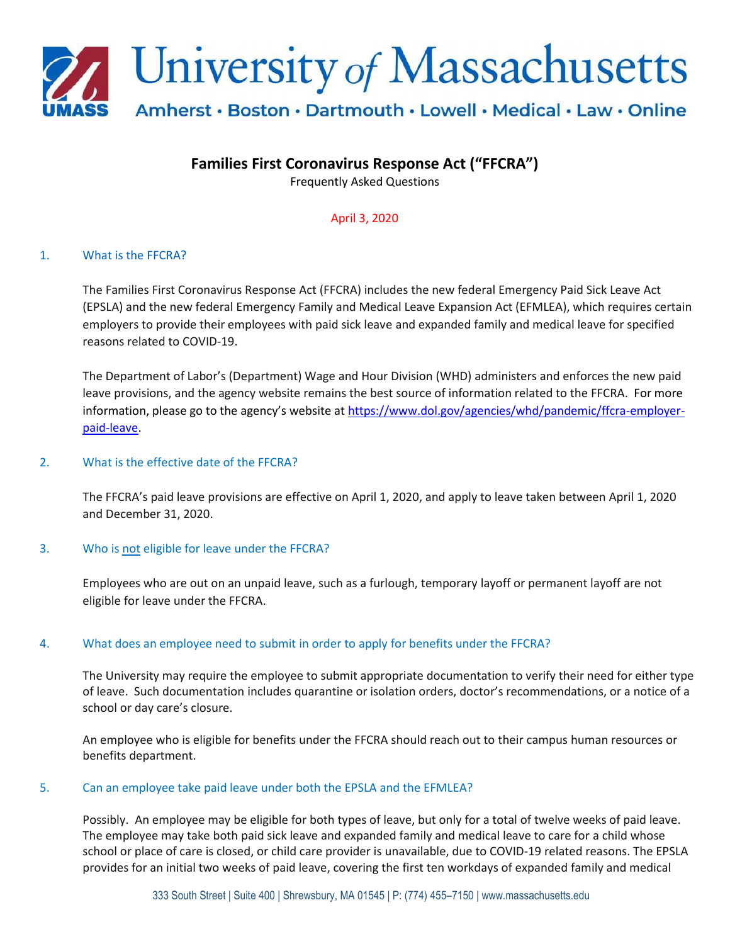

# **Families First Coronavirus Response Act ("FFCRA")**

Frequently Asked Questions

April 3, 2020

### 1. What is the FFCRA?

The Families First Coronavirus Response Act (FFCRA) includes the new federal Emergency Paid Sick Leave Act (EPSLA) and the new federal Emergency Family and Medical Leave Expansion Act (EFMLEA), which requires certain employers to provide their employees with paid sick leave and expanded family and medical leave for specified reasons related to COVID-19.

The Department of Labor's (Department) Wage and Hour Division (WHD) administers and enforces the new paid leave provisions, and the agency website remains the best source of information related to the FFCRA. For more information, please go to the agency's website at [https://www.dol.gov/agencies/whd/pandemic/ffcra-employer](https://www.dol.gov/agencies/whd/pandemic/ffcra-employer-paid-leave)[paid-leave.](https://www.dol.gov/agencies/whd/pandemic/ffcra-employer-paid-leave)

### 2. What is the effective date of the FFCRA?

The FFCRA's paid leave provisions are effective on April 1, 2020, and apply to leave taken between April 1, 2020 and December 31, 2020.

### 3. Who is not eligible for leave under the FFCRA?

Employees who are out on an unpaid leave, such as a furlough, temporary layoff or permanent layoff are not eligible for leave under the FFCRA.

### 4. What does an employee need to submit in order to apply for benefits under the FFCRA?

The University may require the employee to submit appropriate documentation to verify their need for either type of leave. Such documentation includes quarantine or isolation orders, doctor's recommendations, or a notice of a school or day care's closure.

An employee who is eligible for benefits under the FFCRA should reach out to their campus human resources or benefits department.

#### 5. Can an employee take paid leave under both the EPSLA and the EFMLEA?

Possibly. An employee may be eligible for both types of leave, but only for a total of twelve weeks of paid leave. The employee may take both paid sick leave and expanded family and medical leave to care for a child whose school or place of care is closed, or child care provider is unavailable, due to COVID-19 related reasons. The EPSLA provides for an initial two weeks of paid leave, covering the first ten workdays of expanded family and medical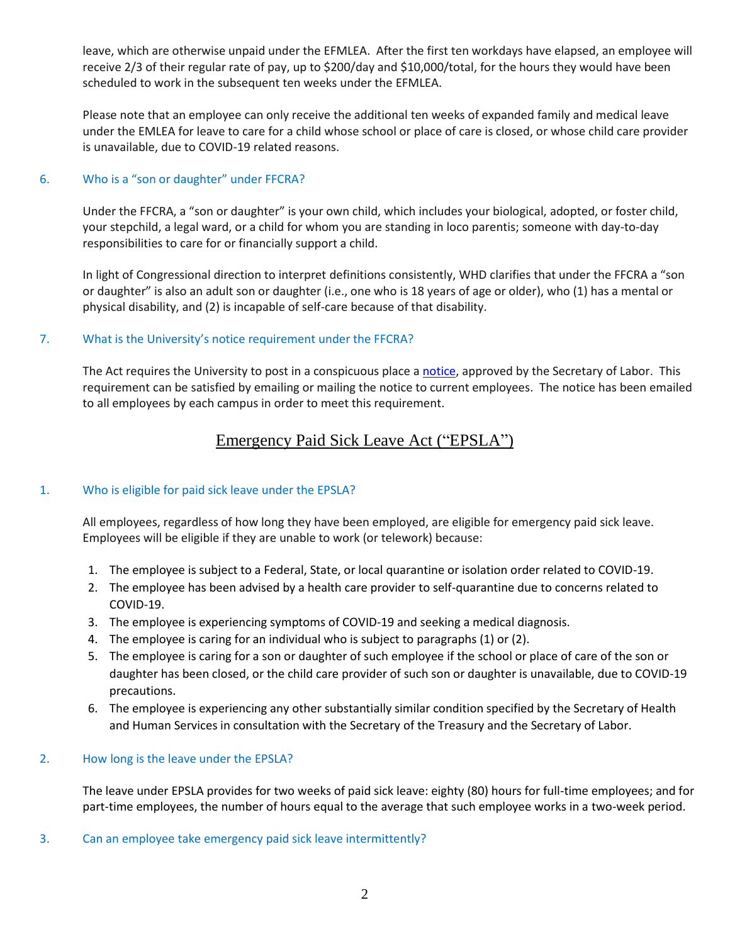leave, which are otherwise unpaid under the EFMLEA. After the first ten workdays have elapsed, an employee will receive 2/3 of their [regular rate of pay,](https://www.dol.gov/agencies/whd/fact-sheets/56a-regular-rate) up to \$200/day and \$10,000/total, for the hours they would have been scheduled to work in the subsequent ten weeks under the EFMLEA.

Please note that an employee can only receive the additional ten weeks of expanded family and medical leave under the EMLEA for leave to care for a child whose school or place of care is closed, or whose child care provider is unavailable, due to COVID-19 related reasons.

### 6. Who is a "son or daughter" under FFCRA?

Under the FFCRA, a "son or daughter" is your own child, which includes your biological, adopted, or foster child, your stepchild, a legal ward, or a child for whom you are standing in loco parentis; someone with day-to-day responsibilities to care for or financially support a child.

In light of Congressional direction to interpret definitions consistently, WHD clarifies that under the FFCRA a "son or daughter" is also an adult son or daughter (i.e., one who is 18 years of age or older), who (1) has a mental or physical disability, and (2) is incapable of self-care because of that disability.

# 7. What is the University's notice requirement under the FFCRA?

The Act requires the University to post in a conspicuous place [a notice,](https://www.dol.gov/sites/dolgov/files/WHD/posters/FFCRA_Poster_WH1422_Non-Federal.pdf) approved by the Secretary of Labor. This requirement can be satisfied by emailing or mailing the notice to current employees. The notice has been emailed to all employees by each campus in order to meet this requirement.

# Emergency Paid Sick Leave Act ("EPSLA")

# 1. Who is eligible for paid sick leave under the EPSLA?

All employees, regardless of how long they have been employed, are eligible for emergency paid sick leave. Employees will be eligible if they are unable to work (or telework) because:

- 1. The employee is subject to a Federal, State, or local quarantine or isolation order related to COVID-19.
- 2. The employee has been advised by a health care provider to self-quarantine due to concerns related to COVID-19.
- 3. The employee is experiencing symptoms of COVID-19 and seeking a medical diagnosis.
- 4. The employee is caring for an individual who is subject to paragraphs (1) or (2).
- 5. The employee is caring for a son or daughter of such employee if the school or place of care of the son or daughter has been closed, or the child care provider of such son or daughter is unavailable, due to COVID-19 precautions.
- 6. The employee is experiencing any other substantially similar condition specified by the Secretary of Health and Human Services in consultation with the Secretary of the Treasury and the Secretary of Labor.

### 2. How long is the leave under the EPSLA?

The leave under EPSLA provides for two weeks of paid sick leave: eighty (80) hours for full-time employees; and for part-time employees, the number of hours equal to the average that such employee works in a two-week period.

3. Can an employee take emergency paid sick leave intermittently?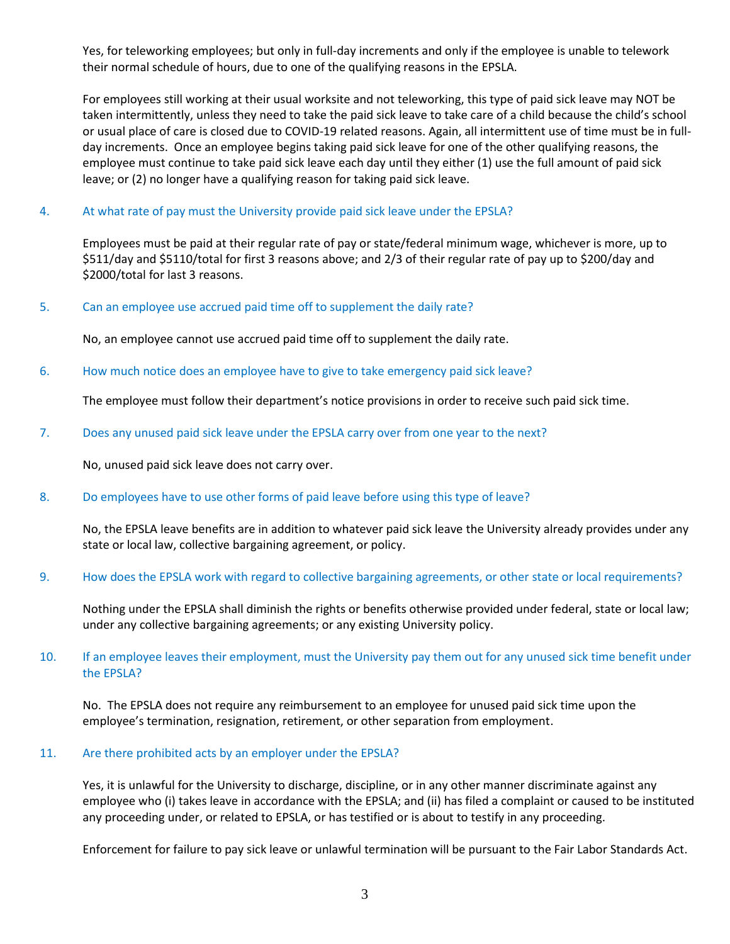Yes, for teleworking employees; but only in full-day increments and only if the employee is unable to telework their normal schedule of hours, due to one of the qualifying reasons in the EPSLA.

For employees still working at their usual worksite and not teleworking, this type of paid sick leave may NOT be taken intermittently, unless they need to take the paid sick leave to take care of a child because the child's school or usual place of care is closed due to COVID-19 related reasons. Again, all intermittent use of time must be in fullday increments. Once an employee begins taking paid sick leave for one of the other qualifying reasons, the employee must continue to take paid sick leave each day until they either (1) use the full amount of paid sick leave; or (2) no longer have a qualifying reason for taking paid sick leave.

### 4. At what rate of pay must the University provide paid sick leave under the EPSLA?

Employees must be paid at their regular rate of pay or state/federal minimum wage, whichever is more, up to \$511/day and \$5110/total for first 3 reasons above; and 2/3 of their regular rate of pay up to \$200/day and \$2000/total for last 3 reasons.

#### 5. Can an employee use accrued paid time off to supplement the daily rate?

No, an employee cannot use accrued paid time off to supplement the daily rate.

6. How much notice does an employee have to give to take emergency paid sick leave?

The employee must follow their department's notice provisions in order to receive such paid sick time.

7. Does any unused paid sick leave under the EPSLA carry over from one year to the next?

No, unused paid sick leave does not carry over.

#### 8. Do employees have to use other forms of paid leave before using this type of leave?

No, the EPSLA leave benefits are in addition to whatever paid sick leave the University already provides under any state or local law, collective bargaining agreement, or policy.

#### 9. How does the EPSLA work with regard to collective bargaining agreements, or other state or local requirements?

Nothing under the EPSLA shall diminish the rights or benefits otherwise provided under federal, state or local law; under any collective bargaining agreements; or any existing University policy.

### 10. If an employee leaves their employment, must the University pay them out for any unused sick time benefit under the EPSLA?

No. The EPSLA does not require any reimbursement to an employee for unused paid sick time upon the employee's termination, resignation, retirement, or other separation from employment.

#### 11. Are there prohibited acts by an employer under the EPSLA?

Yes, it is unlawful for the University to discharge, discipline, or in any other manner discriminate against any employee who (i) takes leave in accordance with the EPSLA; and (ii) has filed a complaint or caused to be instituted any proceeding under, or related to EPSLA, or has testified or is about to testify in any proceeding.

Enforcement for failure to pay sick leave or unlawful termination will be pursuant to the Fair Labor Standards Act.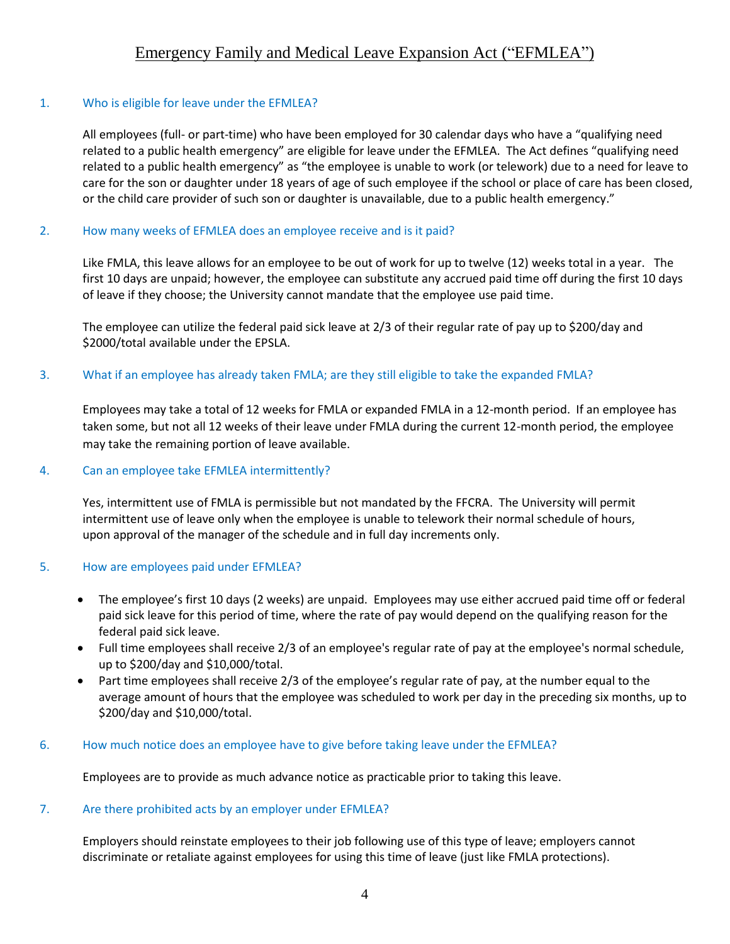# 1. Who is eligible for leave under the EFMLEA?

All employees (full- or part-time) who have been employed for 30 calendar days who have a "qualifying need related to a public health emergency" are eligible for leave under the EFMLEA. The Act defines "qualifying need related to a public health emergency" as "the employee is unable to work (or telework) due to a need for leave to care for the son or daughter under 18 years of age of such employee if the school or place of care has been closed, or the child care provider of such son or daughter is unavailable, due to a public health emergency."

# 2. How many weeks of EFMLEA does an employee receive and is it paid?

Like FMLA, this leave allows for an employee to be out of work for up to twelve (12) weeks total in a year. The first 10 days are unpaid; however, the employee can substitute any accrued paid time off during the first 10 days of leave if they choose; the University cannot mandate that the employee use paid time.

The employee can utilize the federal paid sick leave at 2/3 of their regular rate of pay up to \$200/day and \$2000/total available under the EPSLA.

# 3. What if an employee has already taken FMLA; are they still eligible to take the expanded FMLA?

Employees may take a total of 12 weeks for FMLA or expanded FMLA in a 12-month period. If an employee has taken some, but not all 12 weeks of their leave under FMLA during the current 12-month period, the employee may take the remaining portion of leave available.

# 4. Can an employee take EFMLEA intermittently?

Yes, intermittent use of FMLA is permissible but not mandated by the FFCRA. The University will permit intermittent use of leave only when the employee is unable to telework their normal schedule of hours, upon approval of the manager of the schedule and in full day increments only.

# 5. How are employees paid under EFMLEA?

- The employee's first 10 days (2 weeks) are unpaid. Employees may use either accrued paid time off or federal paid sick leave for this period of time, where the rate of pay would depend on the qualifying reason for the federal paid sick leave.
- Full time employees shall receive 2/3 of an employee's regular rate of pay at the employee's normal schedule, up to \$200/day and \$10,000/total.
- Part time employees shall receive 2/3 of the employee's regular rate of pay, at the number equal to the average amount of hours that the employee was scheduled to work per day in the preceding six months, up to \$200/day and \$10,000/total.

# 6. How much notice does an employee have to give before taking leave under the EFMLEA?

Employees are to provide as much advance notice as practicable prior to taking this leave.

# 7. Are there prohibited acts by an employer under EFMLEA?

Employers should reinstate employees to their job following use of this type of leave; employers cannot discriminate or retaliate against employees for using this time of leave (just like FMLA protections).